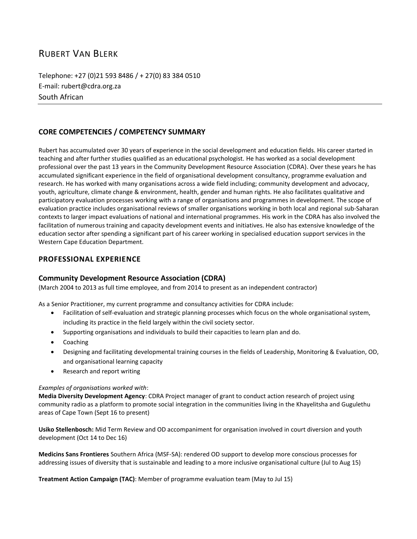# RUBERT VAN BLERK

Telephone: +27 (0)21 593 8486 / + 27(0) 83 384 0510 E-mail: rubert@cdra.org.za South African

### **CORE COMPETENCIES / COMPETENCY SUMMARY**

Rubert has accumulated over 30 years of experience in the social development and education fields. His career started in teaching and after further studies qualified as an educational psychologist. He has worked as a social development professional over the past 13 years in the Community Development Resource Association (CDRA). Over these years he has accumulated significant experience in the field of organisational development consultancy, programme evaluation and research. He has worked with many organisations across a wide field including; community development and advocacy, youth, agriculture, climate change & environment, health, gender and human rights. He also facilitates qualitative and participatory evaluation processes working with a range of organisations and programmes in development. The scope of evaluation practice includes organisational reviews of smaller organisations working in both local and regional sub-Saharan contexts to larger impact evaluations of national and international programmes. His work in the CDRA has also involved the facilitation of numerous training and capacity development events and initiatives. He also has extensive knowledge of the education sector after spending a significant part of his career working in specialised education support services in the Western Cape Education Department.

#### **PROFESSIONAL EXPERIENCE**

#### **Community Development Resource Association (CDRA)**

(March 2004 to 2013 as full time employee, and from 2014 to present as an independent contractor)

As a Senior Practitioner, my current programme and consultancy activities for CDRA include:

- Facilitation of self-evaluation and strategic planning processes which focus on the whole organisational system, including its practice in the field largely within the civil society sector.
- Supporting organisations and individuals to build their capacities to learn plan and do.
- Coaching
- Designing and facilitating developmental training courses in the fields of Leadership, Monitoring & Evaluation, OD, and organisational learning capacity
- Research and report writing

#### *Examples of organisations worked with*:

**Media Diversity Development Agency**: CDRA Project manager of grant to conduct action research of project using community radio as a platform to promote social integration in the communities living in the Khayelitsha and Gugulethu areas of Cape Town (Sept 16 to present)

**Usiko Stellenbosch:** Mid Term Review and OD accompaniment for organisation involved in court diversion and youth development (Oct 14 to Dec 16)

**Medicins Sans Frontieres** Southern Africa (MSF-SA): rendered OD support to develop more conscious processes for addressing issues of diversity that is sustainable and leading to a more inclusive organisational culture (Jul to Aug 15)

**Treatment Action Campaign (TAC)**: Member of programme evaluation team (May to Jul 15)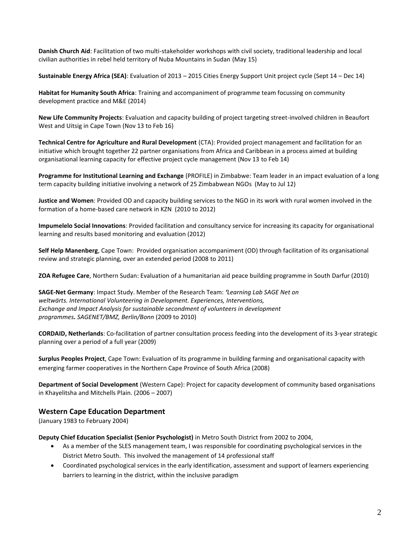**Danish Church Aid**: Facilitation of two multi-stakeholder workshops with civil society, traditional leadership and local civilian authorities in rebel held territory of Nuba Mountains in Sudan (May 15)

**Sustainable Energy Africa (SEA)**: Evaluation of 2013 – 2015 Cities Energy Support Unit project cycle (Sept 14 – Dec 14)

**Habitat for Humanity South Africa**: Training and accompaniment of programme team focussing on community development practice and M&E (2014)

**New Life Community Projects**: Evaluation and capacity building of project targeting street-involved children in Beaufort West and Uitsig in Cape Town (Nov 13 to Feb 16)

**Technical Centre for Agriculture and Rural Development** (CTA): Provided project management and facilitation for an initiative which brought together 22 partner organisations from Africa and Caribbean in a process aimed at building organisational learning capacity for effective project cycle management (Nov 13 to Feb 14)

**Programme for Institutional Learning and Exchange** (PROFILE) in Zimbabwe: Team leader in an impact evaluation of a long term capacity building initiative involving a network of 25 Zimbabwean NGOs (May to Jul 12)

**Justice and Women**: Provided OD and capacity building services to the NGO in its work with rural women involved in the formation of a home-based care network in KZN (2010 to 2012)

**Impumelelo Social Innovations**: Provided facilitation and consultancy service for increasing its capacity for organisational learning and results based monitoring and evaluation (2012)

**Self Help Manenberg**, Cape Town: Provided organisation accompaniment (OD) through facilitation of its organisational review and strategic planning, over an extended period (2008 to 2011)

**ZOA Refugee Care**, Northern Sudan: Evaluation of a humanitarian aid peace building programme in South Darfur (2010)

**SAGE-Net Germany**: Impact Study. Member of the Research Team: *'Learning Lab SAGE Net on weltwärts. International Volunteering in Development. Experiences, Interventions, Exchange and Impact Analysis for sustainable secondment of volunteers in development programmes. SAGENET/BMZ, Berlin/Bonn* (2009 to 2010)

**CORDAID, Netherlands**: Co-facilitation of partner consultation process feeding into the development of its 3-year strategic planning over a period of a full year (2009)

**Surplus Peoples Project**, Cape Town: Evaluation of its programme in building farming and organisational capacity with emerging farmer cooperatives in the Northern Cape Province of South Africa (2008)

**Department of Social Development** (Western Cape): Project for capacity development of community based organisations in Khayelitsha and Mitchells Plain. (2006 – 2007)

#### **Western Cape Education Department**

(January 1983 to February 2004)

**Deputy Chief Education Specialist (Senior Psychologist)** in Metro South District from 2002 to 2004,

- As a member of the SLES management team, I was responsible for coordinating psychological services in the District Metro South. This involved the management of 14 professional staff
- Coordinated psychological services in the early identification, assessment and support of learners experiencing barriers to learning in the district, within the inclusive paradigm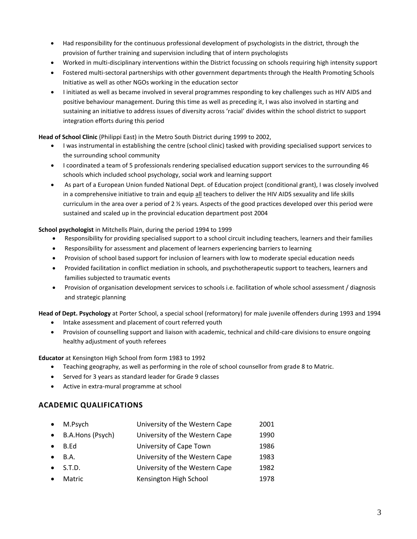- Had responsibility for the continuous professional development of psychologists in the district, through the provision of further training and supervision including that of intern psychologists
- Worked in multi-disciplinary interventions within the District focussing on schools requiring high intensity support
- Fostered multi-sectoral partnerships with other government departments through the Health Promoting Schools Initiative as well as other NGOs working in the education sector
- I initiated as well as became involved in several programmes responding to key challenges such as HIV AIDS and positive behaviour management. During this time as well as preceding it, I was also involved in starting and sustaining an initiative to address issues of diversity across 'racial' divides within the school district to support integration efforts during this period

#### **Head of School Clinic** (Philippi East) in the Metro South District during 1999 to 2002,

- I was instrumental in establishing the centre (school clinic) tasked with providing specialised support services to the surrounding school community
- I coordinated a team of 5 professionals rendering specialised education support services to the surrounding 46 schools which included school psychology, social work and learning support
- As part of a European Union funded National Dept. of Education project (conditional grant), I was closely involved in a comprehensive initiative to train and equip all teachers to deliver the HIV AIDS sexuality and life skills curriculum in the area over a period of 2 ½ years. Aspects of the good practices developed over this period were sustained and scaled up in the provincial education department post 2004

#### **School psychologist** in Mitchells Plain, during the period 1994 to 1999

- Responsibility for providing specialised support to a school circuit including teachers, learners and their families
- Responsibility for assessment and placement of learners experiencing barriers to learning
- Provision of school based support for inclusion of learners with low to moderate special education needs
- Provided facilitation in conflict mediation in schools, and psychotherapeutic support to teachers, learners and families subjected to traumatic events
- Provision of organisation development services to schools i.e. facilitation of whole school assessment / diagnosis and strategic planning

**Head of Dept. Psychology** at Porter School, a special school (reformatory) for male juvenile offenders during 1993 and 1994

- Intake assessment and placement of court referred youth
- Provision of counselling support and liaison with academic, technical and child-care divisions to ensure ongoing healthy adjustment of youth referees

**Educator** at Kensington High School from form 1983 to 1992

- Teaching geography, as well as performing in the role of school counsellor from grade 8 to Matric.
- Served for 3 years as standard leader for Grade 9 classes
- Active in extra-mural programme at school

### **ACADEMIC QUALIFICATIONS**

|           | M.Psych          | University of the Western Cape | 2001 |
|-----------|------------------|--------------------------------|------|
| $\bullet$ | B.A.Hons (Psych) | University of the Western Cape | 1990 |
|           | B.Ed             | University of Cape Town        | 1986 |
|           | <b>B.A.</b>      | University of the Western Cape | 1983 |
|           | S.T.D.           | University of the Western Cape | 1982 |
|           | Matric           | Kensington High School         | 1978 |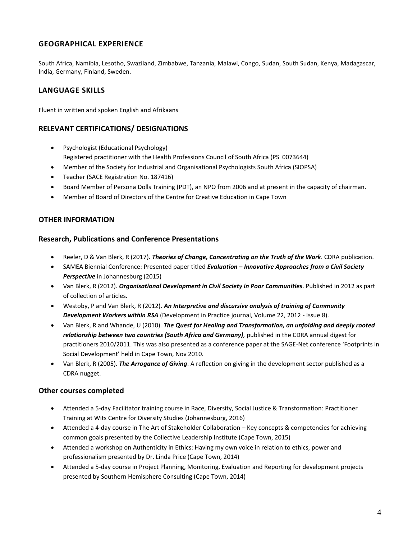### **GEOGRAPHICAL EXPERIENCE**

South Africa, Namibia, Lesotho, Swaziland, Zimbabwe, Tanzania, Malawi, Congo, Sudan, South Sudan, Kenya, Madagascar, India, Germany, Finland, Sweden.

## **LANGUAGE SKILLS**

Fluent in written and spoken English and Afrikaans

### **RELEVANT CERTIFICATIONS/ DESIGNATIONS**

- Psychologist (Educational Psychology) Registered practitioner with the Health Professions Council of South Africa (PS 0073644)
- Member of the Society for Industrial and Organisational Psychologists South Africa (SIOPSA)
- Teacher (SACE Registration No. 187416)
- Board Member of Persona Dolls Training (PDT), an NPO from 2006 and at present in the capacity of chairman.
- Member of Board of Directors of the Centre for Creative Education in Cape Town

### **OTHER INFORMATION**

#### **Research, Publications and Conference Presentations**

- Reeler, D & Van Blerk, R (2017). *Theories of Change, Concentrating on the Truth of the Work*. CDRA publication.
- SAMEA Biennial Conference: Presented paper titled *Evaluation* **–** *Innovative Approaches from a Civil Society Perspective* in Johannesburg (2015)
- Van Blerk, R (2012). *Organisational Development in Civil Society in Poor Communities*. Published in 2012 as part of collection of articles.
- Westoby, P and Van Blerk, R (2012). *An Interpretive and discursive analysis of training of Community Development Workers within RSA* (Development in Practice journal, Volume 22, 2012 - Issue 8).
- Van Blerk, R and Whande, U (2010). *The Quest for Healing and Transformation, an unfolding and deeply rooted relationship between two countries (South Africa and Germany),* published in the CDRA annual digest for practitioners 2010/2011. This was also presented as a conference paper at the SAGE-Net conference 'Footprints in Social Development' held in Cape Town, Nov 2010.
- Van Blerk, R (2005). *The Arrogance of Giving*. A reflection on giving in the development sector published as a CDRA nugget.

### **Other courses completed**

- Attended a 5-day Facilitator training course in Race, Diversity, Social Justice & Transformation: Practitioner Training at Wits Centre for Diversity Studies (Johannesburg, 2016)
- Attended a 4-day course in The Art of Stakeholder Collaboration Key concepts & competencies for achieving common goals presented by the Collective Leadership Institute (Cape Town, 2015)
- Attended a workshop on Authenticity in Ethics: Having my own voice in relation to ethics, power and professionalism presented by Dr. Linda Price (Cape Town, 2014)
- Attended a 5-day course in Project Planning, Monitoring, Evaluation and Reporting for development projects presented by Southern Hemisphere Consulting (Cape Town, 2014)